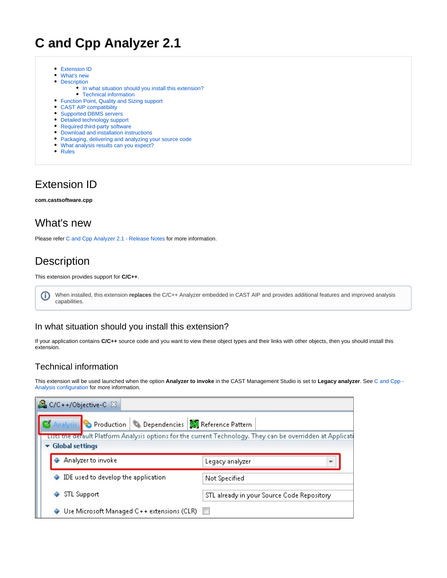# **C and Cpp Analyzer 2.1**

- [Extension ID](#page-0-0)
- [What's new](#page-0-1)
- [Description](#page-0-2)
	- [In what situation should you install this extension?](#page-0-3)
	- [Technical information](#page-0-4)
- [Function Point, Quality and Sizing support](#page-1-0)
- [CAST AIP compatibility](#page-2-0)
- [Supported DBMS servers](#page-2-1)
- [Detailed technology support](#page-2-2)
- [Required third-party software](#page-2-3)
- [Download and installation instructions](#page-3-0)
- [Packaging, delivering and analyzing your source code](#page-3-1)
- [What analysis results can you expect?](#page-3-2)
- [Rules](#page-3-3)

### <span id="page-0-0"></span>Extension ID

**com.castsoftware.cpp**

#### <span id="page-0-1"></span>What's new

Please refer [C and Cpp Analyzer 2.1 - Release Notes](https://doc.castsoftware.com/display/TECHNOS/C+and+Cpp+Analyzer+2.1+-+Release+Notes) for more information.

## <span id="page-0-2"></span>**Description**

⋒

#### This extension provides support for **C/C++**.

When installed, this extension *replaces* the C/C++ Analyzer embedded in CAST AIP and provides additional features and improved analysis capabilities.

#### <span id="page-0-3"></span>In what situation should you install this extension?

If your application contains **C/C++** source code and you want to view these object types and their links with other objects, then you should install this extension.

#### <span id="page-0-4"></span>Technical information

This extension will be used launched when the option **Analyzer to invoke** in the CAST Management Studio is set to **Legacy analyzer**. See [C and Cpp -](https://doc.castsoftware.com/display/TECHNOS/C+and+Cpp+-+Analysis+configuration)  [Analysis configuration](https://doc.castsoftware.com/display/TECHNOS/C+and+Cpp+-+Analysis+configuration) for more information.

| C/C++/Objective-C &                                                                                         |  |                                                                          |  |  |
|-------------------------------------------------------------------------------------------------------------|--|--------------------------------------------------------------------------|--|--|
|                                                                                                             |  | Analysis <b>C</b> Production & Dependencies <b>And Reference Pattern</b> |  |  |
| Lists the default Platform Analysis options for the current Technology. They can be overridden at Applicati |  |                                                                          |  |  |
| $\blacktriangleright$ Global settings                                                                       |  |                                                                          |  |  |
| Analyzer to invoke                                                                                          |  | Legacy analyzer                                                          |  |  |
| IDE used to develop the application<br>٠                                                                    |  | Not Specified                                                            |  |  |
| STL Support                                                                                                 |  | STL already in your Source Code Repository                               |  |  |
| Use Microsoft Managed C++ extensions (CLR)                                                                  |  |                                                                          |  |  |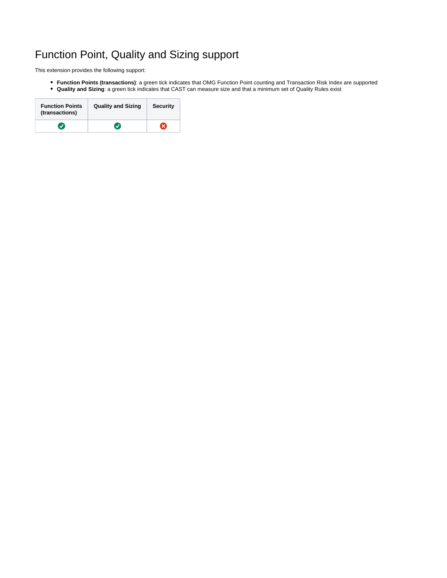# <span id="page-1-0"></span>Function Point, Quality and Sizing support

This extension provides the following support:

- **Function Points (transactions)**: a green tick indicates that OMG Function Point counting and Transaction Risk Index are supported
- **Quality and Sizing**: a green tick indicates that CAST can measure size and that a minimum set of Quality Rules exist

| <b>Function Points</b><br>(transactions) | <b>Quality and Sizing</b> | <b>Security</b> |
|------------------------------------------|---------------------------|-----------------|
|                                          | V                         | ×               |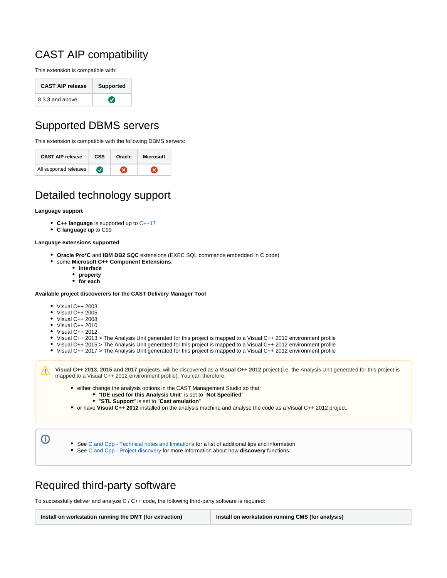## <span id="page-2-0"></span>CAST AIP compatibility

This extension is compatible with:

| <b>CAST AIP release</b> | <b>Supported</b> |  |
|-------------------------|------------------|--|
| 8.3.3 and above         | $\bm{J}$         |  |

# <span id="page-2-1"></span>Supported DBMS servers

This extension is compatible with the following DBMS servers:

| <b>CAST AIP release</b> | <b>CSS</b> | Oracle | <b>Microsoft</b> |
|-------------------------|------------|--------|------------------|
| All supported releases  |            |        |                  |

## <span id="page-2-2"></span>Detailed technology support

#### **Language support**

- **C++ language** is supported up to [C++17](https://en.wikipedia.org/wiki/C%2B%2B17)
- **C language** up to C99

#### **Language extensions supported**

- **Oracle Pro\*C** and **IBM DB2 SQC** extensions (EXEC SQL commands embedded in C code)
- some **Microsoft C++ Component Extensions**:
	- **interface**
	- **property**
	- **for each**

#### **Available project discoverers for the CAST Delivery Manager Tool**

- Visual C++ 2003
- Visual C++ 2005
- Visual C++ 2008
- Visual C++ 2010
- Visual C++ 2012
- Visual C++ 2013 > The Analysis Unit generated for this project is mapped to a Visual C++ 2012 environment profile
- Visual C++ 2015 > The Analysis Unit generated for this project is mapped to a Visual C++ 2012 environment profile
- Visual C++ 2017 > The Analysis Unit generated for this project is mapped to a Visual C++ 2012 environment profile

**Visual C++ 2013, 2015 and 2017 projects**, will be discovered as a **Visual C++ 2012** project (i.e. the Analysis Unit generated for this project is mapped to a Visual C++ 2012 environment profile). You can therefore:

- either change the analysis options in the CAST Management Studio so that:
	- "**IDE used for this Analysis Unit**" is set to "**Not Specified**"
	- "**STL Support**" is set to "**Cast emulation**"
- or have **Visual C++ 2012** installed on the analysis machine and analyse the code as a Visual C++ 2012 project.

➀

Δ

- See [C and Cpp Technical notes and limitations](https://doc.castsoftware.com/display/TECHNOS/C+and+Cpp+-+Technical+notes+and+limitations) for a list of additional tips and information
- See [C and Cpp Project discovery](https://doc.castsoftware.com/display/TECHNOS/C+and+Cpp+-+Project+discovery) for more information about how **discovery** functions.

### <span id="page-2-3"></span>Required third-party software

To successfully deliver and analyze C / C++ code, the following third-party software is required:

**Install on workstation running the DMT (for extraction) Install on workstation running CMS (for analysis)**

൘